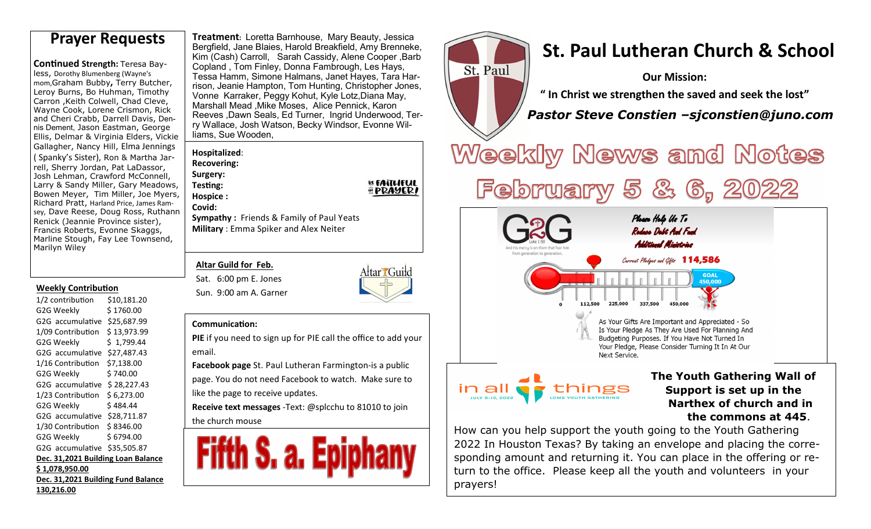**Continued Strength: Teresa Bay**less, Dorothy Blumenberg (Wayne's mom,Graham Bubby**,** Terry Butcher, Leroy Burns, Bo Huhman, Timothy Carron ,Keith Colwell, Chad Cleve, Wayne Cook, Lorene Crismon, Rick and Cheri Crabb, Darrell Davis, Dennis Dement, Jason Eastman, George Ellis, Delmar & Virginia Elders, Vickie Gallagher, Nancy Hill, Elma Jennings ( Spanky's Sister), Ron & Martha Jarrell, Sherry Jordan, Pat LaDassor, Josh Lehman, Crawford McConnell, Larry & Sandy Miller, Gary Meadows, Bowen Meyer, Tim Miller, Joe Myers, Richard Pratt, Harland Price, James Ramsey, Dave Reese, Doug Ross, Ruthann Renick (Jeannie Province sister), Francis Roberts, Evonne Skaggs, Marline Stough, Fay Lee Townsend, Marilyn Wiley

#### **Weekly Contribution**

1/2 contribution \$10,181.20 G2G Weekly \$ 1760.00 G2G accumulative \$25,687.99 1/09 Contribution \$ 13,973.99 G2G Weekly \$ 1,799.44 G2G accumulative \$27,487.43 1/16 Contribution \$7,138.00 G2G Weekly \$ 740.00 G2G accumulative \$ 28,227.43 1/23 Contribution \$ 6,273.00 G2G Weekly \$484.44 G2G accumulative \$28,711.87 1/30 Contribution \$ 8346.00 G2G Weekly \$6794.00 G2G accumulative \$35,505.87 **Dec. 31,2021 Building Loan Balance \$ 1,078,950.00 Dec. 31,2021 Building Fund Balance 130,216.00**

**Treatment:** Loretta Barnhouse, Mary Beauty, Jessica Bergfield, Jane Blaies, Harold Breakfield, Amy Brenneke, Kim (Cash) Carroll, Sarah Cassidy, Alene Cooper ,Barb Copland , Tom Finley, Donna Fambrough, Les Hays, Tessa Hamm, Simone Halmans, Janet Hayes, Tara Harrison, Jeanie Hampton, Tom Hunting, Christopher Jones, Vonne Karraker, Peggy Kohut, Kyle Lotz,Diana May, Marshall Mead ,Mike Moses, Alice Pennick, Karon Reeves ,Dawn Seals, Ed Turner, Ingrid Underwood, Terry Wallace, Josh Watson, Becky Windsor, Evonne Williams, Sue Wooden,

**Hospitalized**: **Recovering:** 

**Surgery: Testing: Hospice :** 

**Covid: Sympathy :** Friends & Family of Paul Yeats **Military** : Emma Spiker and Alex Neiter

### **Altar Guild for Feb.**

Sat. 6:00 pm E. Jones Sun. 9:00 am A. Garner



**BE FAITLIFUL** 

*HPRAYERI* 

#### **Communication:**

**PIE** if you need to sign up for PIE call the office to add your email.

**Facebook page** St. Paul Lutheran Farmington-is a public page. You do not need Facebook to watch. Make sure to like the page to receive updates.

**Receive text messages** -Text: @splcchu to 81010 to join the church mouse



#### **Prayer Requests Preatment: Loretta Barnhouse, Mary Beauty, Jessica**<br>Bergfield, Jane Blaies, Harold Breakfield, Amy Brenneke, **St. Paul Lutheran Church & School** St. Paul **Our Mission: " In Christ we strengthen the saved and seek the lost"**  *Pastor Steve Constien –sjconstien@juno.com*Weekly News and Notes **February** & 6, 20 55 Please Help Us To Rodoco Dobt And Fond Additional Ministrice from generation to generatio Carrent Pledges and Gifts 114,586 **GOAL** 450.000 337.500 112,500 225,000 450.000 As Your Gifts Are Important and Appreciated - So Is Your Pledge As They Are Used For Planning And Budgeting Purposes. If You Have Not Turned In Your Pledge, Please Consider Turning It In At Our Next Service. **The Youth Gathering Wall of** in all things **Support is set up in the JULY 9-13, 2022** LOMS VOLITH GATHERING  **Narthex of church and in the commons at 445**.

How can you help support the youth going to the Youth Gathering 2022 In Houston Texas? By taking an envelope and placing the corresponding amount and returning it. You can place in the offering or return to the office. Please keep all the youth and volunteers in your prayers!